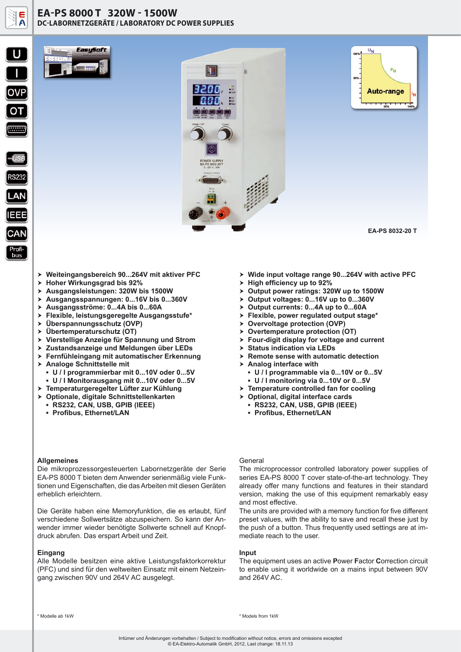

### **EA-PS 8000 T 320W - 1500W DC-LABORNETZGERÄTE / LABORATORY DC POWER SUPPLIES**



**S232** 

bus

EasuSoft



**EA-PS 8032-20 T** 

- > Weiteingangsbereich 90...264V mit aktiver PFC
- > Hoher Wirkungsgrad bis 92%
- h **Ausgangsleistungen: 320W bis 1500W**
- h **Ausgangsspannungen: 0...16V bis 0...360V**
- h **Ausgangsströme: 0...4A bis 0...60A**
- h **Flexible, leistungsgeregelte Ausgangsstufe\***
- h **Überspannungsschutz (OVP)**
- h **Übertemperaturschutz (OT)**
- h **Vierstellige Anzeige für Spannung und Strom**
- h **Zustandsanzeige und Meldungen über LEDs**
- h **Fernfühleingang mit automatischer Erkennung**
- > Analoge Schnittstelle mit
	- **▪ U / I programmierbar mit 0...10V oder 0...5V**
- **▪ U / I Monitorausgang mit 0...10V oder 0...5V**
- h **Temperaturgeregelter Lüfter zur Kühlung**
- h **Optionale, digitale Schnittstellenkarten**
	- **▪ RS232, CAN, USB, GPIB (IEEE)**
	- **▪ Profibus, Ethernet/LAN**

### **Allgemeines**

Die mikroprozessorgesteuerten Labornetzgeräte der Serie EA-PS 8000 T bieten dem Anwender serienmäßig viele Funktionen und Eigenschaften, die das Arbeiten mit diesen Geräten erheblich erleichtern.

Die Geräte haben eine Memoryfunktion, die es erlaubt, fünf verschiedene Sollwertsätze abzuspeichern. So kann der Anwender immer wieder benötigte Sollwerte schnell auf Knopfdruck abrufen. Das erspart Arbeit und Zeit.

#### **Eingang**

Alle Modelle besitzen eine aktive Leistungsfaktorkorrektur (PFC) und sind für den weltweiten Einsatz mit einem Netzeingang zwischen 90V und 264V AC ausgelegt.

- > Wide input voltage range 90...264V with active PFC
- > High efficiency up to 92%
- > Output power ratings: 320W up to 1500W
- > Output voltages: 0...16V up to 0...360V
- > Output currents: 0...4A up to 0...60A
- h **Flexible, power regulated output stage\***
- $\rightarrow$  **Overvoltage protection (OVP)**
- > Overtemperature protection (OT)
- h **Four-digit display for voltage and current**
- $\triangleright$  **Status indication via LEDs**
- $\triangleright$  Remote sense with automatic detection
- > Analog interface with
	- **▪ U / I programmable via 0...10V or 0...5V ▪ U / I monitoring via 0...10V or 0...5V**
- $\triangleright$  Temperature controlled fan for cooling
- > Optional, digital interface cards
- **▪ RS232, CAN, USB, GPIB (IEEE)**
	- **▪ Profibus, Ethernet/LAN**

#### General

The microprocessor controlled laboratory power supplies of series EA-PS 8000 T cover state-of-the-art technology. They already offer many functions and features in their standard version, making the use of this equipment remarkably easy and most effective.

The units are provided with a memory function for five different preset values, with the ability to save and recall these just by the push of a button. Thus frequently used settings are at immediate reach to the user.

#### **Input**

The equipment uses an active **P**ower **F**actor **C**orrection circuit to enable using it worldwide on a mains input between 90V and 264V AC.

\* Modelle ab 1kW \* Models from 1kW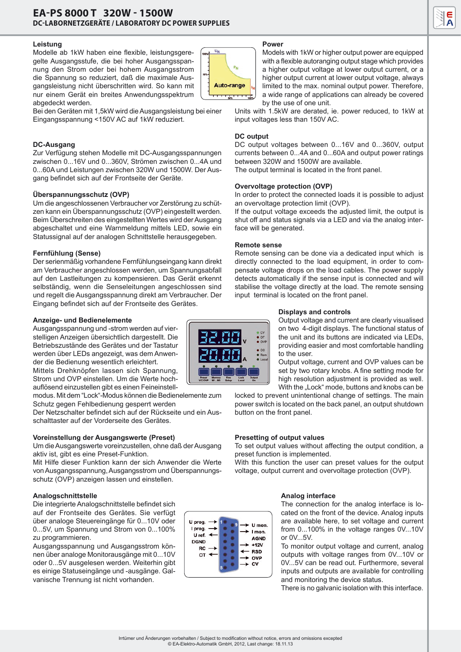### **Leistung**

Modelle ab 1kW haben eine flexible, leistungsgeregelte Ausgangsstufe, die bei hoher Ausgangsspannung den Strom oder bei hohem Ausgangsstrom die Spannung so reduziert, daß die maximale Ausgangsleistung nicht überschritten wird. So kann mit nur einem Gerät ein breites Anwendungsspektrum abgedeckt werden.



#### Bei den Geräten mit 1,5kW wird die Ausgangsleistung bei einer Eingangsspannung <150V AC auf 1kW reduziert.

# **DC-Ausgang**

Zur Verfügung stehen Modelle mit DC-Ausgangsspannungen zwischen 0...16V und 0...360V, Strömen zwischen 0...4A und 0...60A und Leistungen zwischen 320W und 1500W. Der Ausgang befindet sich auf der Frontseite der Geräte.

## **Überspannungsschutz (OVP)**

Um die angeschlossenen Verbraucher vor Zerstörung zu schützen kann ein Überspannungsschutz (OVP) eingestellt werden. Beim Überschreiten des eingestellten Wertes wird der Ausgang abgeschaltet und eine Warnmeldung mittels LED, sowie ein Statussignal auf der analogen Schnittstelle herausgegeben.

### **Fernfühlung (Sense)**

Der serienmäßig vorhandene Fernfühlungseingang kann direkt am Verbraucher angeschlossen werden, um Spannungsabfall auf den Lastleitungen zu kompensieren. Das Gerät erkennt selbständig, wenn die Senseleitungen angeschlossen sind und regelt die Ausgangsspannung direkt am Verbraucher. Der Eingang befindet sich auf der Frontseite des Gerätes.

### **Anzeige- und Bedienelemente**

Ausgangsspannung und -strom werden auf vierstelligen Anzeigen übersichtlich dargestellt. Die Betriebszustände des Gerätes und der Tastatur werden über LEDs angezeigt, was dem Anwender die Bedienung wesentlich erleichtert. Mittels Drehknöpfen lassen sich Spannung,

Strom und OVP einstellen. Um die Werte hochauflösend einzustellen gibt es einen Feineinstell-

modus. Mit dem "Lock"-Modus können die Bedienelemente zum Schutz gegen Fehlbedienung gesperrt werden

Der Netzschalter befindet sich auf der Rückseite und ein Ausschalttaster auf der Vorderseite des Gerätes.

### **Voreinstellung der Ausgangswerte (Preset)**

Um die Ausgangswerte voreinzustellen, ohne daß der Ausgang aktiv ist, gibt es eine Preset-Funktion.

Mit Hilfe dieser Funktion kann der sich Anwender die Werte von Ausgangsspannung, Ausgangsstrom und Überspannungsschutz (OVP) anzeigen lassen und einstellen.

## **Analogschnittstelle**

Die integrierte Analogschnittstelle befindet sich auf der Frontseite des Gerätes. Sie verfügt über analoge Steuereingänge für 0...10V oder 0...5V, um Spannung und Strom von 0...100% zu programmieren.

Ausgangsspannung und Ausgangsstrom können über analoge Monitorausgänge mit 0...10V oder 0...5V ausgelesen werden. Weiterhin gibt es einige Statuseingänge und -ausgänge. Galvanische Trennung ist nicht vorhanden.



#### **Power**

Models with 1kW or higher output power are equipped with a flexible autoranging output stage which provides a higher output voltage at lower output current, or a higher output current at lower output voltage, always limited to the max. nominal output power. Therefore, a wide range of applications can already be covered by the use of one unit.

Units with 1.5kW are derated, ie. power reduced, to 1kW at input voltages less than 150V AC.

## **DC output**

DC output voltages between 0...16V and 0...360V, output currents between 0...4A and 0...60A and output power ratings between 320W and 1500W are available.

The output terminal is located in the front panel.

### **Overvoltage protection (OVP)**

In order to protect the connected loads it is possible to adjust an overvoltage protection limit (OVP).

If the output voltage exceeds the adjusted limit, the output is shut off and status signals via a LED and via the analog interface will be generated.

### **Remote sense**

Remote sensing can be done via a dedicated input which is directly connected to the load equipment, in order to compensate voltage drops on the load cables. The power supply detects automatically if the sense input is connected and will stabilise the voltage directly at the load. The remote sensing input terminal is located on the front panel.

### **Displays and controls**

Output voltage and current are clearly visualised on two 4-digit displays. The functional status of the unit and its buttons are indicated via LEDs, providing easier and most comfortable handling to the user.

Output voltage, current and OVP values can be set by two rotary knobs. A fine setting mode for high resolution adjustment is provided as well. With the "Lock" mode, buttons and knobs can be

locked to prevent unintentional change of settings. The main power switch is located on the back panel, an output shutdown button on the front panel.

## **Presetting of output values**

To set output values without affecting the output condition, a preset function is implemented.

With this function the user can preset values for the output voltage, output current and overvoltage protection (OVP).

## **Analog interface**

The connection for the analog interface is located on the front of the device. Analog inputs are available here, to set voltage and current from 0...100% in the voltage ranges 0V...10V or 0V...5V.

To monitor output voltage and current, analog outputs with voltage ranges from 0V...10V or 0V...5V can be read out. Furthermore, several inputs and outputs are available for controlling and monitoring the device status.

There is no galvanic isolation with this interface.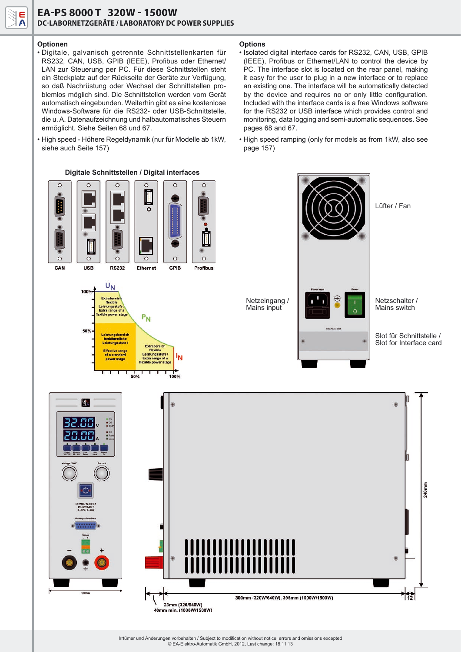### **Optionen**

• Digitale, galvanisch getrennte Schnittstellenkarten für RS232, CAN, USB, GPIB (IEEE), Profibus oder Ethernet/ LAN zur Steuerung per PC. Für diese Schnittstellen steht ein Steckplatz auf der Rückseite der Geräte zur Verfügung, so daß Nachrüstung oder Wechsel der Schnittstellen problemlos möglich sind. Die Schnittstellen werden vom Gerät automatisch eingebunden. Weiterhin gibt es eine kostenlose Windows-Software für die RS232- oder USB-Schnittstelle, die u. A. Datenaufzeichnung und halbautomatisches Steuern ermöglicht. Siehe Seiten 68 und 67.

• High speed - Höhere Regeldynamik (nur für Modelle ab 1kW, siehe auch Seite 157)

**Digitale Schnittstellen / Digital interfaces**

#### **Options**

- Isolated digital interface cards for RS232, CAN, USB, GPIB (IEEE), Profibus or Ethernet/LAN to control the device by PC. The interface slot is located on the rear panel, making it easy for the user to plug in a new interface or to replace an existing one. The interface will be automatically detected by the device and requires no or only little configuration. Included with the interface cards is a free Windows software for the RS232 or USB interface which provides control and monitoring, data logging and semi-automatic sequences. See pages 68 and 67.
- High speed ramping (only for models as from 1kW, also see page 157)



40mm min. (1000W/1500W)